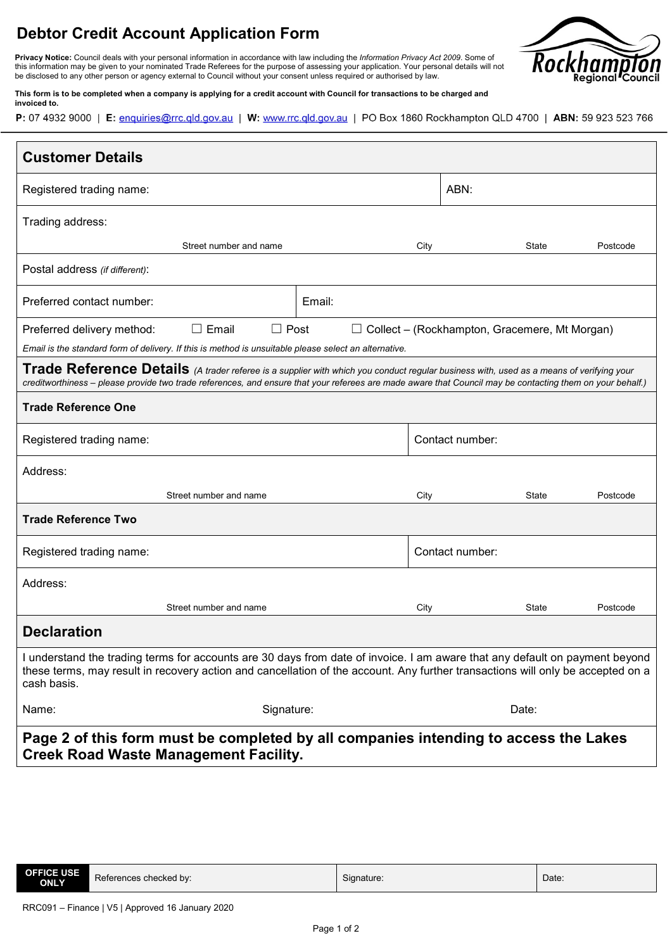## **Debtor Credit Account Application Form**

**Privacy Notice:** Council deals with your personal information in accordance with law including the *Information Privacy Act 2009*. Some of this information may be given to your nominated Trade Referees for the purpose of assessing your application. Your personal details will not be disclosed to any other person or agency external to Council without your consent unless required or authorised by law.



**This form is to be completed when a company is applying for a credit account with Council for transactions to be charged and invoiced to.**

P: 07 4932 9000 | E: enquiries@rrc.qld.gov.au | W: www.rrc.qld.gov.au | PO Box 1860 Rockhampton QLD 4700 | ABN: 59 923 523 766

| <b>Customer Details</b>                                                                                                                                                                                                                                                                              |        |                 |                          |  |  |
|------------------------------------------------------------------------------------------------------------------------------------------------------------------------------------------------------------------------------------------------------------------------------------------------------|--------|-----------------|--------------------------|--|--|
| Registered trading name:                                                                                                                                                                                                                                                                             |        |                 | ABN:                     |  |  |
| Trading address:                                                                                                                                                                                                                                                                                     |        |                 |                          |  |  |
| Street number and name                                                                                                                                                                                                                                                                               |        | City            | <b>State</b><br>Postcode |  |  |
| Postal address (if different):                                                                                                                                                                                                                                                                       |        |                 |                          |  |  |
| Preferred contact number:                                                                                                                                                                                                                                                                            | Email: |                 |                          |  |  |
| $\Box$ Post<br>$\Box$ Email<br>Preferred delivery method:<br>Collect – (Rockhampton, Gracemere, Mt Morgan)<br>Email is the standard form of delivery. If this is method is unsuitable please select an alternative.                                                                                  |        |                 |                          |  |  |
| Trade Reference Details (A trader referee is a supplier with which you conduct regular business with, used as a means of verifying your<br>creditworthiness - please provide two trade references, and ensure that your referees are made aware that Council may be contacting them on your behalf.) |        |                 |                          |  |  |
| <b>Trade Reference One</b>                                                                                                                                                                                                                                                                           |        |                 |                          |  |  |
| Registered trading name:                                                                                                                                                                                                                                                                             |        | Contact number: |                          |  |  |
| Address:                                                                                                                                                                                                                                                                                             |        |                 |                          |  |  |
| Street number and name                                                                                                                                                                                                                                                                               |        | City            | State<br>Postcode        |  |  |
| <b>Trade Reference Two</b>                                                                                                                                                                                                                                                                           |        |                 |                          |  |  |
| Registered trading name:                                                                                                                                                                                                                                                                             |        | Contact number: |                          |  |  |
| Address:                                                                                                                                                                                                                                                                                             |        |                 |                          |  |  |
| Street number and name                                                                                                                                                                                                                                                                               |        | City            | State<br>Postcode        |  |  |
| <b>Declaration</b>                                                                                                                                                                                                                                                                                   |        |                 |                          |  |  |
| I understand the trading terms for accounts are 30 days from date of invoice. I am aware that any default on payment beyond<br>these terms, may result in recovery action and cancellation of the account. Any further transactions will only be accepted on a<br>cash basis.                        |        |                 |                          |  |  |
| Name:<br>Signature:                                                                                                                                                                                                                                                                                  |        |                 | Date:                    |  |  |
| Page 2 of this form must be completed by all companies intending to access the Lakes<br><b>Creek Road Waste Management Facility.</b>                                                                                                                                                                 |        |                 |                          |  |  |

| <b>OFFICE USE</b><br>$\overline{\phantom{0}}$<br>$\overline{\phantom{a}}$<br>Date:<br>References checked by:<br>Signature:<br><b>ONLY</b> |
|-------------------------------------------------------------------------------------------------------------------------------------------|
|-------------------------------------------------------------------------------------------------------------------------------------------|